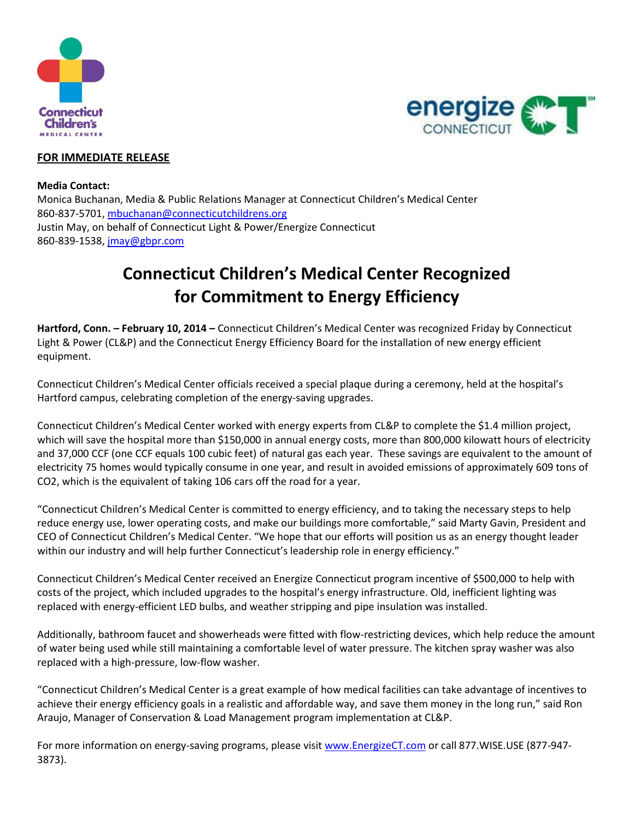



## **FOR IMMEDIATE RELEASE**

**Media Contact:** Monica Buchanan, Media & Public Relations Manager at Connecticut Children's Medical Center 860-837-5701, [mbuchanan@connecticutchildrens.org](mailto:mbuchanan@connecticutchildrens.org) Justin May, on behalf of Connecticut Light & Power/Energize Connecticut 860-839-1538[, jmay@gbpr.com](mailto:jmay@gbpr.com)

## **Connecticut Children's Medical Center Recognized for Commitment to Energy Efficiency**

**Hartford, Conn. – February 10, 2014 –** Connecticut Children's Medical Center was recognized Friday by Connecticut Light & Power (CL&P) and the Connecticut Energy Efficiency Board for the installation of new energy efficient equipment.

Connecticut Children's Medical Center officials received a special plaque during a ceremony, held at the hospital's Hartford campus, celebrating completion of the energy-saving upgrades.

Connecticut Children's Medical Center worked with energy experts from CL&P to complete the \$1.4 million project, which will save the hospital more than \$150,000 in annual energy costs, more than 800,000 kilowatt hours of electricity and 37,000 CCF (one CCF equals 100 cubic feet) of natural gas each year. These savings are equivalent to the amount of electricity 75 homes would typically consume in one year, and result in avoided emissions of approximately 609 tons of CO2, which is the equivalent of taking 106 cars off the road for a year.

"Connecticut Children's Medical Center is committed to energy efficiency, and to taking the necessary steps to help reduce energy use, lower operating costs, and make our buildings more comfortable," said Marty Gavin, President and CEO of Connecticut Children's Medical Center. "We hope that our efforts will position us as an energy thought leader within our industry and will help further Connecticut's leadership role in energy efficiency."

Connecticut Children's Medical Center received an Energize Connecticut program incentive of \$500,000 to help with costs of the project, which included upgrades to the hospital's energy infrastructure. Old, inefficient lighting was replaced with energy-efficient LED bulbs, and weather stripping and pipe insulation was installed.

Additionally, bathroom faucet and showerheads were fitted with flow-restricting devices, which help reduce the amount of water being used while still maintaining a comfortable level of water pressure. The kitchen spray washer was also replaced with a high-pressure, low-flow washer.

"Connecticut Children's Medical Center is a great example of how medical facilities can take advantage of incentives to achieve their energy efficiency goals in a realistic and affordable way, and save them money in the long run," said Ron Araujo, Manager of Conservation & Load Management program implementation at CL&P.

For more information on energy-saving programs, please visi[t www.EnergizeCT.com](http://www.energizect.com/) or call 877.WISE.USE (877-947-3873).